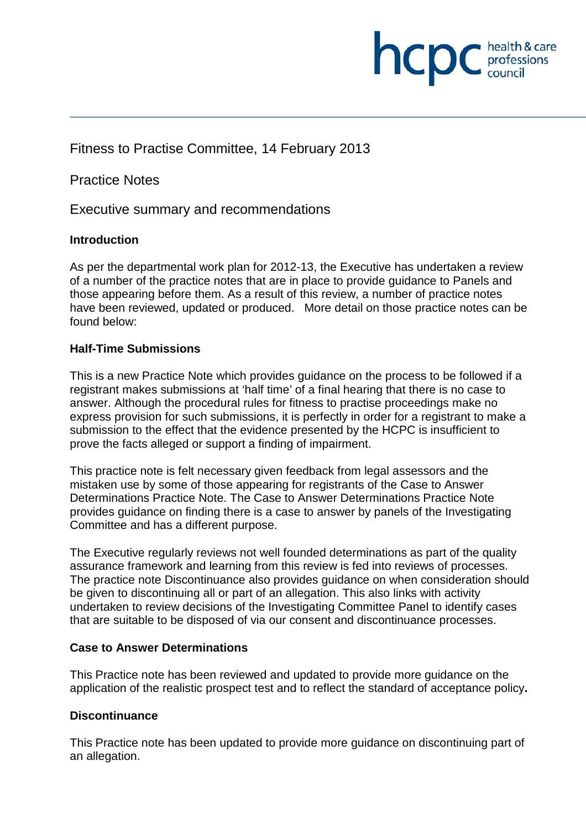

Practice Notes

Executive summary and recommendations

#### **Introduction**

As per the departmental work plan for 2012-13, the Executive has undertaken a review of a number of the practice notes that are in place to provide guidance to Panels and those appearing before them. As a result of this review, a number of practice notes have been reviewed, updated or produced. More detail on those practice notes can be found below:

**INCDC** *professions* 

health & care

#### **Half-Time Submissions**

This is a new Practice Note which provides guidance on the process to be followed if a registrant makes submissions at 'half time' of a final hearing that there is no case to answer. Although the procedural rules for fitness to practise proceedings make no express provision for such submissions, it is perfectly in order for a registrant to make a submission to the effect that the evidence presented by the HCPC is insufficient to prove the facts alleged or support a finding of impairment.

This practice note is felt necessary given feedback from legal assessors and the mistaken use by some of those appearing for registrants of the Case to Answer Determinations Practice Note. The Case to Answer Determinations Practice Note provides guidance on finding there is a case to answer by panels of the Investigating Committee and has a different purpose.

The Executive regularly reviews not well founded determinations as part of the quality assurance framework and learning from this review is fed into reviews of processes. The practice note Discontinuance also provides guidance on when consideration should be given to discontinuing all or part of an allegation. This also links with activity undertaken to review decisions of the Investigating Committee Panel to identify cases that are suitable to be disposed of via our consent and discontinuance processes.

#### **Case to Answer Determinations**

This Practice note has been reviewed and updated to provide more guidance on the application of the realistic prospect test and to reflect the standard of acceptance policy**.** 

#### **Discontinuance**

This Practice note has been updated to provide more guidance on discontinuing part of an allegation.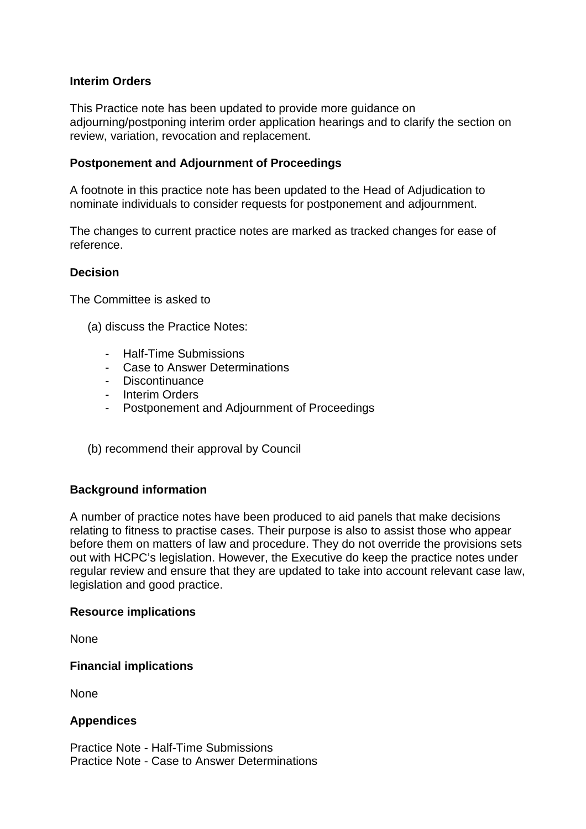#### **Interim Orders**

This Practice note has been updated to provide more guidance on adjourning/postponing interim order application hearings and to clarify the section on review, variation, revocation and replacement.

#### **Postponement and Adjournment of Proceedings**

A footnote in this practice note has been updated to the Head of Adjudication to nominate individuals to consider requests for postponement and adjournment.

The changes to current practice notes are marked as tracked changes for ease of reference.

#### **Decision**

The Committee is asked to

- (a) discuss the Practice Notes:
	- Half-Time Submissions
	- Case to Answer Determinations
	- Discontinuance
	- Interim Orders
	- Postponement and Adjournment of Proceedings
- (b) recommend their approval by Council

#### **Background information**

A number of practice notes have been produced to aid panels that make decisions relating to fitness to practise cases. Their purpose is also to assist those who appear before them on matters of law and procedure. They do not override the provisions sets out with HCPC's legislation. However, the Executive do keep the practice notes under regular review and ensure that they are updated to take into account relevant case law, legislation and good practice.

#### **Resource implications**

None

#### **Financial implications**

None

#### **Appendices**

Practice Note - Half-Time Submissions Practice Note - Case to Answer Determinations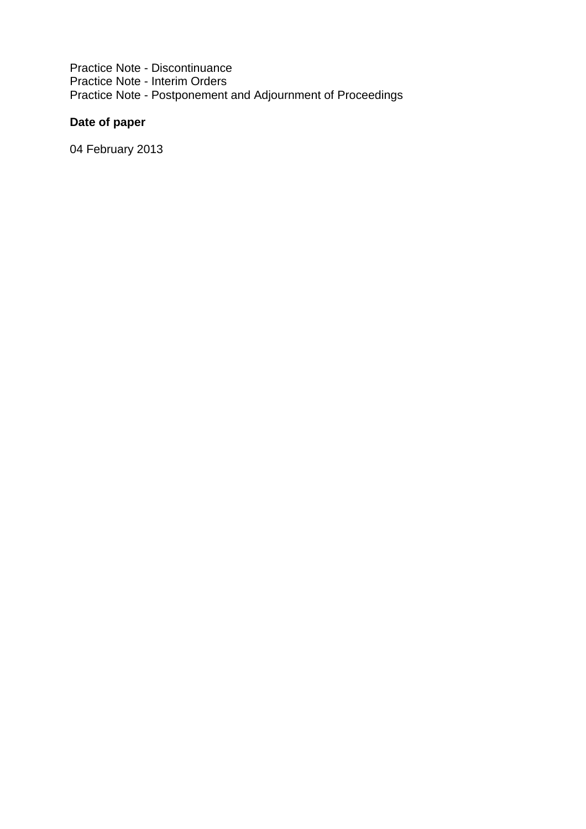Practice Note - Discontinuance Practice Note - Interim Orders Practice Note - Postponement and Adjournment of Proceedings

### **Date of paper**

04 February 2013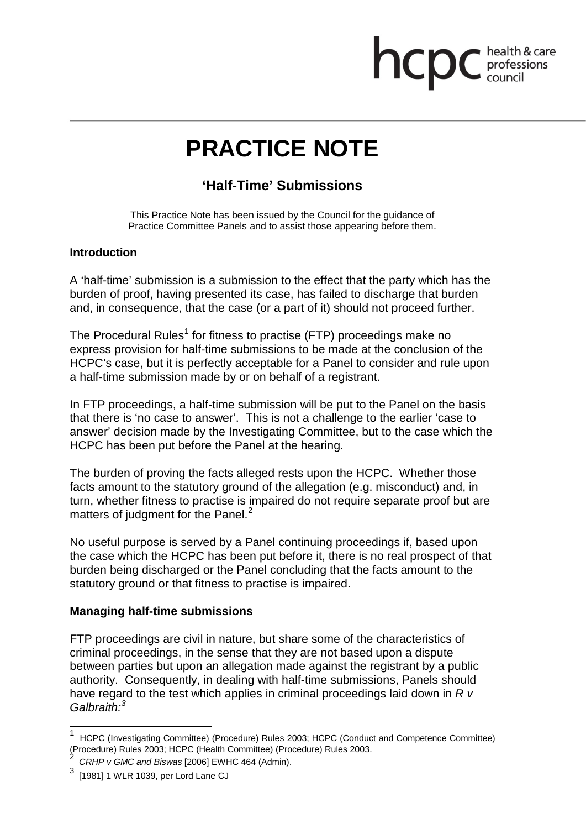# **health & care**

# **PRACTICE NOTE**

### **'Half-Time' Submissions**

This Practice Note has been issued by the Council for the guidance of Practice Committee Panels and to assist those appearing before them.

#### **Introduction**

A 'half-time' submission is a submission to the effect that the party which has the burden of proof, having presented its case, has failed to discharge that burden and, in consequence, that the case (or a part of it) should not proceed further.

The Procedural Rules<sup>1</sup> for fitness to practise (FTP) proceedings make no express provision for half-time submissions to be made at the conclusion of the HCPC's case, but it is perfectly acceptable for a Panel to consider and rule upon a half-time submission made by or on behalf of a registrant.

In FTP proceedings, a half-time submission will be put to the Panel on the basis that there is 'no case to answer'. This is not a challenge to the earlier 'case to answer' decision made by the Investigating Committee, but to the case which the HCPC has been put before the Panel at the hearing.

The burden of proving the facts alleged rests upon the HCPC. Whether those facts amount to the statutory ground of the allegation (e.g. misconduct) and, in turn, whether fitness to practise is impaired do not require separate proof but are matters of judgment for the Panel.<sup>2</sup>

No useful purpose is served by a Panel continuing proceedings if, based upon the case which the HCPC has been put before it, there is no real prospect of that burden being discharged or the Panel concluding that the facts amount to the statutory ground or that fitness to practise is impaired.

#### **Managing half-time submissions**

FTP proceedings are civil in nature, but share some of the characteristics of criminal proceedings, in the sense that they are not based upon a dispute between parties but upon an allegation made against the registrant by a public authority. Consequently, in dealing with half-time submissions, Panels should have regard to the test which applies in criminal proceedings laid down in *R v Galbraith: 3*

<sup>1</sup> HCPC (Investigating Committee) (Procedure) Rules 2003; HCPC (Conduct and Competence Committee) (Procedure) Rules 2003; HCPC (Health Committee) (Procedure) Rules 2003. 2

*CRHP v GMC and Biswas* [2006] EWHC 464 (Admin).

 $^3\,$  [1981] 1 WLR 1039, per Lord Lane CJ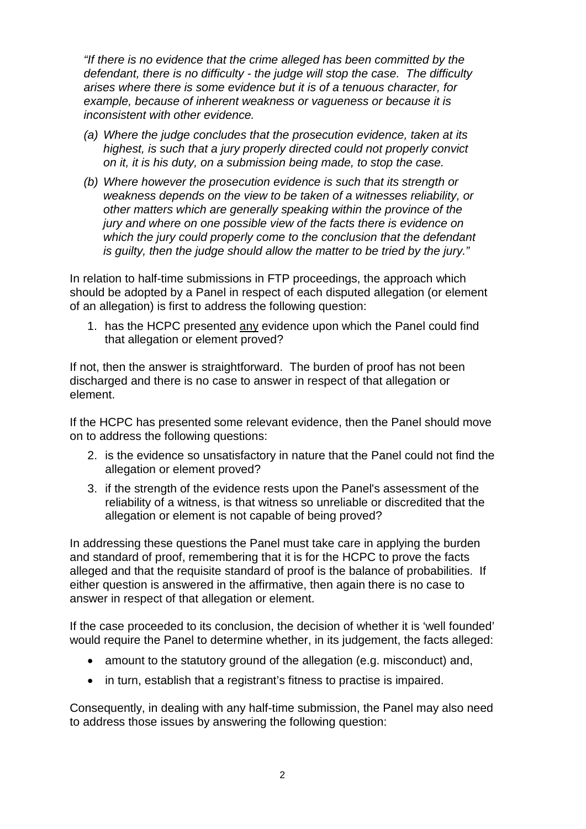*"If there is no evidence that the crime alleged has been committed by the defendant, there is no difficulty - the judge will stop the case. The difficulty arises where there is some evidence but it is of a tenuous character, for example, because of inherent weakness or vagueness or because it is inconsistent with other evidence.*

- *(a) Where the judge concludes that the prosecution evidence, taken at its highest, is such that a jury properly directed could not properly convict on it, it is his duty, on a submission being made, to stop the case.*
- *(b) Where however the prosecution evidence is such that its strength or weakness depends on the view to be taken of a witnesses reliability, or other matters which are generally speaking within the province of the jury and where on one possible view of the facts there is evidence on which the jury could properly come to the conclusion that the defendant is guilty, then the judge should allow the matter to be tried by the jury."*

In relation to half-time submissions in FTP proceedings, the approach which should be adopted by a Panel in respect of each disputed allegation (or element of an allegation) is first to address the following question:

1. has the HCPC presented any evidence upon which the Panel could find that allegation or element proved?

If not, then the answer is straightforward. The burden of proof has not been discharged and there is no case to answer in respect of that allegation or element.

If the HCPC has presented some relevant evidence, then the Panel should move on to address the following questions:

- 2. is the evidence so unsatisfactory in nature that the Panel could not find the allegation or element proved?
- 3. if the strength of the evidence rests upon the Panel's assessment of the reliability of a witness, is that witness so unreliable or discredited that the allegation or element is not capable of being proved?

In addressing these questions the Panel must take care in applying the burden and standard of proof, remembering that it is for the HCPC to prove the facts alleged and that the requisite standard of proof is the balance of probabilities. If either question is answered in the affirmative, then again there is no case to answer in respect of that allegation or element.

If the case proceeded to its conclusion, the decision of whether it is 'well founded' would require the Panel to determine whether, in its judgement, the facts alleged:

- amount to the statutory ground of the allegation (e.g. misconduct) and,
- in turn, establish that a registrant's fitness to practise is impaired.

Consequently, in dealing with any half-time submission, the Panel may also need to address those issues by answering the following question: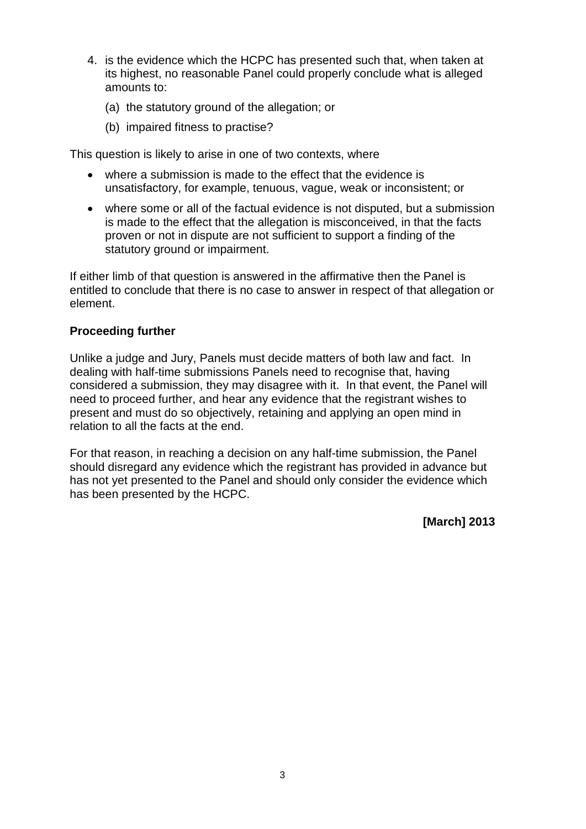- 4. is the evidence which the HCPC has presented such that, when taken at its highest, no reasonable Panel could properly conclude what is alleged amounts to:
	- (a) the statutory ground of the allegation; or
	- (b) impaired fitness to practise?

This question is likely to arise in one of two contexts, where

- where a submission is made to the effect that the evidence is unsatisfactory, for example, tenuous, vague, weak or inconsistent; or
- where some or all of the factual evidence is not disputed, but a submission is made to the effect that the allegation is misconceived, in that the facts proven or not in dispute are not sufficient to support a finding of the statutory ground or impairment.

If either limb of that question is answered in the affirmative then the Panel is entitled to conclude that there is no case to answer in respect of that allegation or element.

#### **Proceeding further**

Unlike a judge and Jury, Panels must decide matters of both law and fact. In dealing with half-time submissions Panels need to recognise that, having considered a submission, they may disagree with it. In that event, the Panel will need to proceed further, and hear any evidence that the registrant wishes to present and must do so objectively, retaining and applying an open mind in relation to all the facts at the end.

For that reason, in reaching a decision on any half-time submission, the Panel should disregard any evidence which the registrant has provided in advance but has not yet presented to the Panel and should only consider the evidence which has been presented by the HCPC.

**[March] 2013**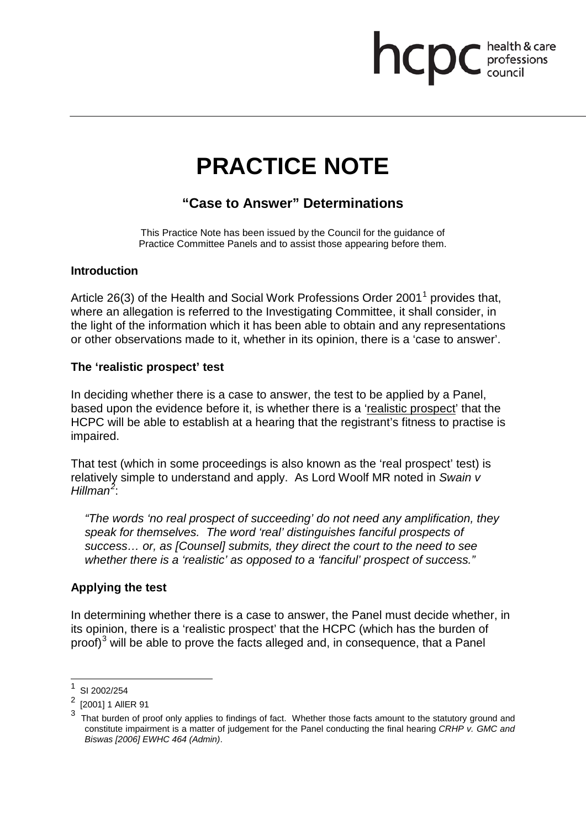## health & care<br>professions<br>council **ncpc**

# **PRACTICE NOTE**

## **"Case to Answer" Determinations**

This Practice Note has been issued by the Council for the guidance of Practice Committee Panels and to assist those appearing before them.

#### **Introduction**

Article 26(3) of the Health and Social Work Professions Order 2001<sup>1</sup> provides that, where an allegation is referred to the Investigating Committee, it shall consider, in the light of the information which it has been able to obtain and any representations or other observations made to it, whether in its opinion, there is a 'case to answer'.

#### **The 'realistic prospect' test**

In deciding whether there is a case to answer, the test to be applied by a Panel, based upon the evidence before it, is whether there is a 'realistic prospect' that the HCPC will be able to establish at a hearing that the registrant's fitness to practise is impaired.

That test (which in some proceedings is also known as the 'real prospect' test) is relatively simple to understand and apply. As Lord Woolf MR noted in *Swain v Hillman<sup>2</sup>* :

*"The words 'no real prospect of succeeding' do not need any amplification, they speak for themselves. The word 'real' distinguishes fanciful prospects of success… or, as [Counsel] submits, they direct the court to the need to see whether there is a 'realistic' as opposed to a 'fanciful' prospect of success."*

#### **Applying the test**

In determining whether there is a case to answer, the Panel must decide whether, in its opinion, there is a 'realistic prospect' that the HCPC (which has the burden of proof)<sup>3</sup> will be able to prove the facts alleged and, in consequence, that a Panel

 $\frac{1}{2}$  SI 2002/254

<sup>[2001] 1</sup> AIIER 91

That burden of proof only applies to findings of fact. Whether those facts amount to the statutory ground and constitute impairment is a matter of judgement for the Panel conducting the final hearing *CRHP v. GMC and Biswas [2006] EWHC 464 (Admin)*.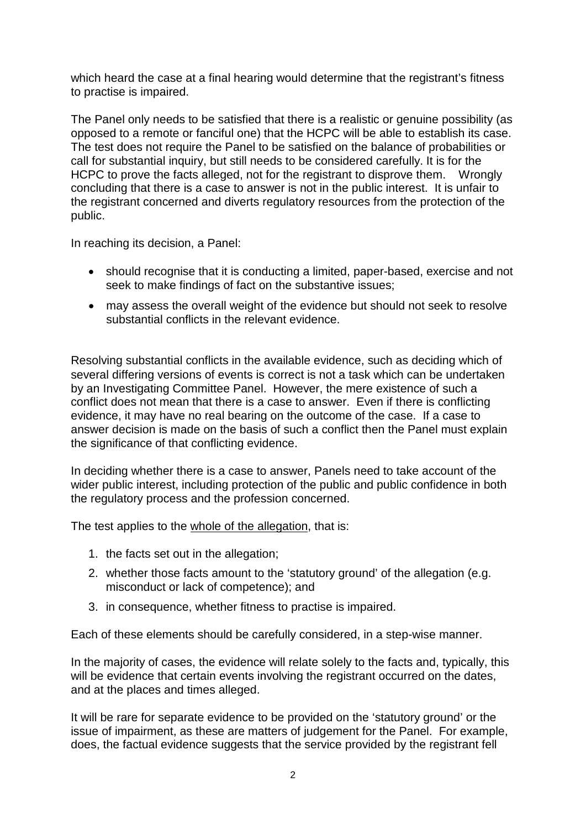which heard the case at a final hearing would determine that the registrant's fitness to practise is impaired.

The Panel only needs to be satisfied that there is a realistic or genuine possibility (as opposed to a remote or fanciful one) that the HCPC will be able to establish its case. The test does not require the Panel to be satisfied on the balance of probabilities or call for substantial inquiry, but still needs to be considered carefully. It is for the HCPC to prove the facts alleged, not for the registrant to disprove them. Wrongly concluding that there is a case to answer is not in the public interest. It is unfair to the registrant concerned and diverts regulatory resources from the protection of the public.

In reaching its decision, a Panel:

- should recognise that it is conducting a limited, paper-based, exercise and not seek to make findings of fact on the substantive issues;
- may assess the overall weight of the evidence but should not seek to resolve substantial conflicts in the relevant evidence.

Resolving substantial conflicts in the available evidence, such as deciding which of several differing versions of events is correct is not a task which can be undertaken by an Investigating Committee Panel. However, the mere existence of such a conflict does not mean that there is a case to answer. Even if there is conflicting evidence, it may have no real bearing on the outcome of the case. If a case to answer decision is made on the basis of such a conflict then the Panel must explain the significance of that conflicting evidence.

In deciding whether there is a case to answer, Panels need to take account of the wider public interest, including protection of the public and public confidence in both the regulatory process and the profession concerned.

The test applies to the whole of the allegation, that is:

- 1. the facts set out in the allegation;
- 2. whether those facts amount to the 'statutory ground' of the allegation (e.g. misconduct or lack of competence); and
- 3. in consequence, whether fitness to practise is impaired.

Each of these elements should be carefully considered, in a step-wise manner.

In the majority of cases, the evidence will relate solely to the facts and, typically, this will be evidence that certain events involving the registrant occurred on the dates, and at the places and times alleged.

It will be rare for separate evidence to be provided on the 'statutory ground' or the issue of impairment, as these are matters of judgement for the Panel. For example, does, the factual evidence suggests that the service provided by the registrant fell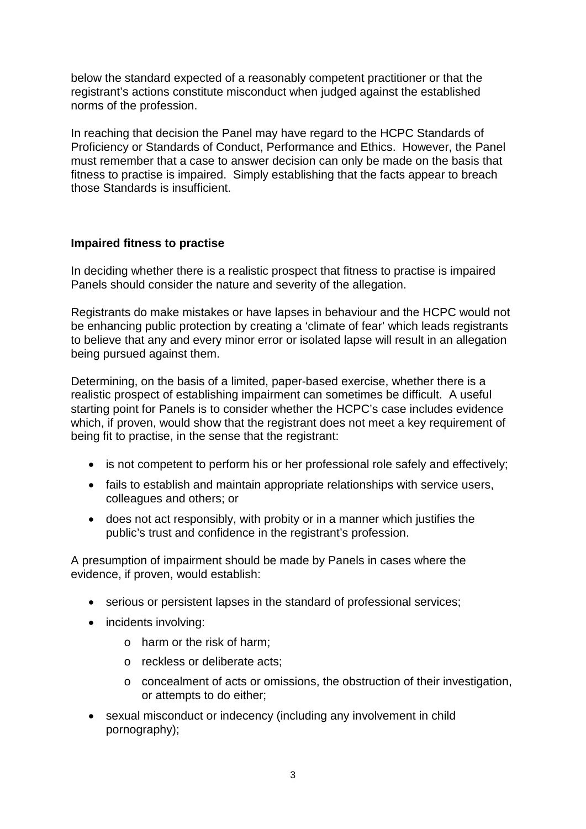below the standard expected of a reasonably competent practitioner or that the registrant's actions constitute misconduct when judged against the established norms of the profession.

In reaching that decision the Panel may have regard to the HCPC Standards of Proficiency or Standards of Conduct, Performance and Ethics. However, the Panel must remember that a case to answer decision can only be made on the basis that fitness to practise is impaired. Simply establishing that the facts appear to breach those Standards is insufficient.

#### **Impaired fitness to practise**

In deciding whether there is a realistic prospect that fitness to practise is impaired Panels should consider the nature and severity of the allegation.

Registrants do make mistakes or have lapses in behaviour and the HCPC would not be enhancing public protection by creating a 'climate of fear' which leads registrants to believe that any and every minor error or isolated lapse will result in an allegation being pursued against them.

Determining, on the basis of a limited, paper-based exercise, whether there is a realistic prospect of establishing impairment can sometimes be difficult. A useful starting point for Panels is to consider whether the HCPC's case includes evidence which, if proven, would show that the registrant does not meet a key requirement of being fit to practise, in the sense that the registrant:

- is not competent to perform his or her professional role safely and effectively;
- fails to establish and maintain appropriate relationships with service users, colleagues and others; or
- does not act responsibly, with probity or in a manner which justifies the public's trust and confidence in the registrant's profession.

A presumption of impairment should be made by Panels in cases where the evidence, if proven, would establish:

- serious or persistent lapses in the standard of professional services;
- incidents involving:
	- o harm or the risk of harm;
	- o reckless or deliberate acts;
	- o concealment of acts or omissions, the obstruction of their investigation, or attempts to do either;
- sexual misconduct or indecency (including any involvement in child pornography);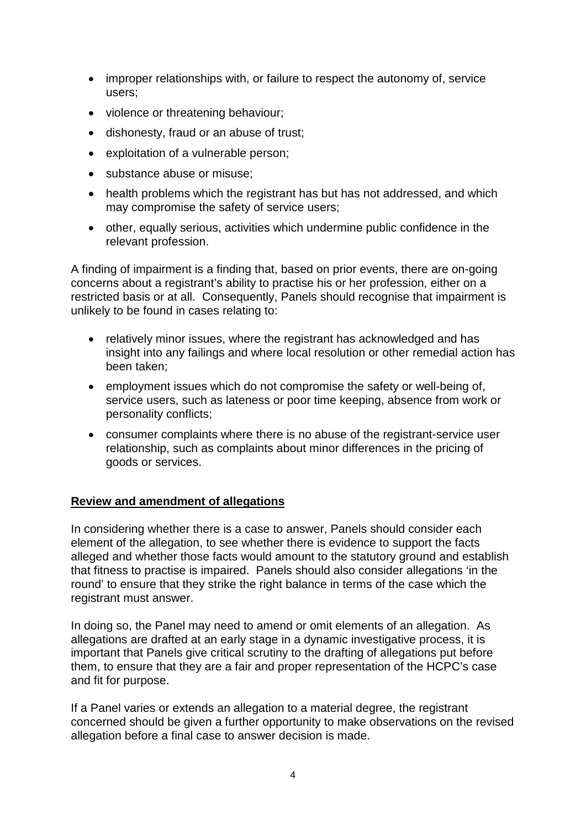- improper relationships with, or failure to respect the autonomy of, service users;
- violence or threatening behaviour;
- dishonesty, fraud or an abuse of trust;
- exploitation of a vulnerable person;
- substance abuse or misuse:
- health problems which the registrant has but has not addressed, and which may compromise the safety of service users;
- other, equally serious, activities which undermine public confidence in the relevant profession.

A finding of impairment is a finding that, based on prior events, there are on-going concerns about a registrant's ability to practise his or her profession, either on a restricted basis or at all. Consequently, Panels should recognise that impairment is unlikely to be found in cases relating to:

- relatively minor issues, where the registrant has acknowledged and has insight into any failings and where local resolution or other remedial action has been taken;
- employment issues which do not compromise the safety or well-being of, service users, such as lateness or poor time keeping, absence from work or personality conflicts;
- consumer complaints where there is no abuse of the registrant-service user relationship, such as complaints about minor differences in the pricing of goods or services.

#### **Review and amendment of allegations**

In considering whether there is a case to answer, Panels should consider each element of the allegation, to see whether there is evidence to support the facts alleged and whether those facts would amount to the statutory ground and establish that fitness to practise is impaired. Panels should also consider allegations 'in the round' to ensure that they strike the right balance in terms of the case which the registrant must answer.

In doing so, the Panel may need to amend or omit elements of an allegation. As allegations are drafted at an early stage in a dynamic investigative process, it is important that Panels give critical scrutiny to the drafting of allegations put before them, to ensure that they are a fair and proper representation of the HCPC's case and fit for purpose.

If a Panel varies or extends an allegation to a material degree, the registrant concerned should be given a further opportunity to make observations on the revised allegation before a final case to answer decision is made.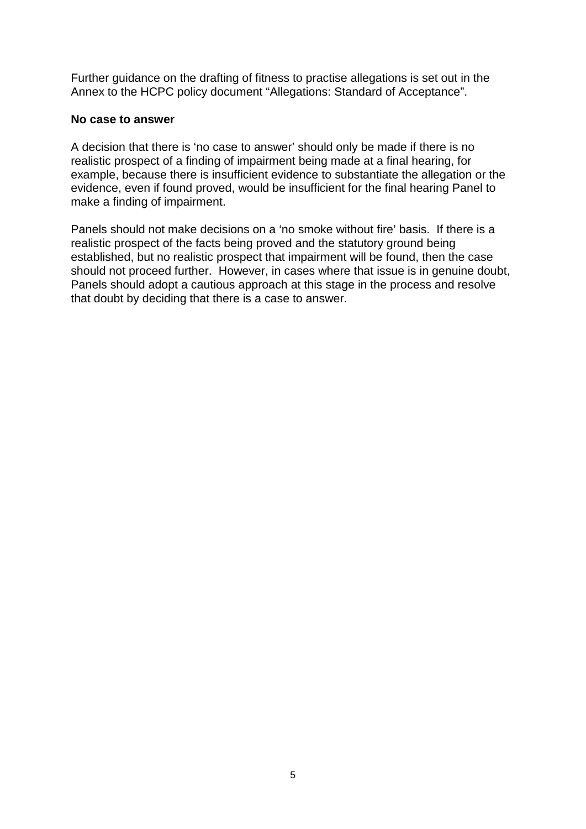Further guidance on the drafting of fitness to practise allegations is set out in the Annex to the HCPC policy document "Allegations: Standard of Acceptance".

#### **No case to answer**

A decision that there is 'no case to answer' should only be made if there is no realistic prospect of a finding of impairment being made at a final hearing, for example, because there is insufficient evidence to substantiate the allegation or the evidence, even if found proved, would be insufficient for the final hearing Panel to make a finding of impairment.

Panels should not make decisions on a 'no smoke without fire' basis. If there is a realistic prospect of the facts being proved and the statutory ground being established, but no realistic prospect that impairment will be found, then the case should not proceed further. However, in cases where that issue is in genuine doubt, Panels should adopt a cautious approach at this stage in the process and resolve that doubt by deciding that there is a case to answer.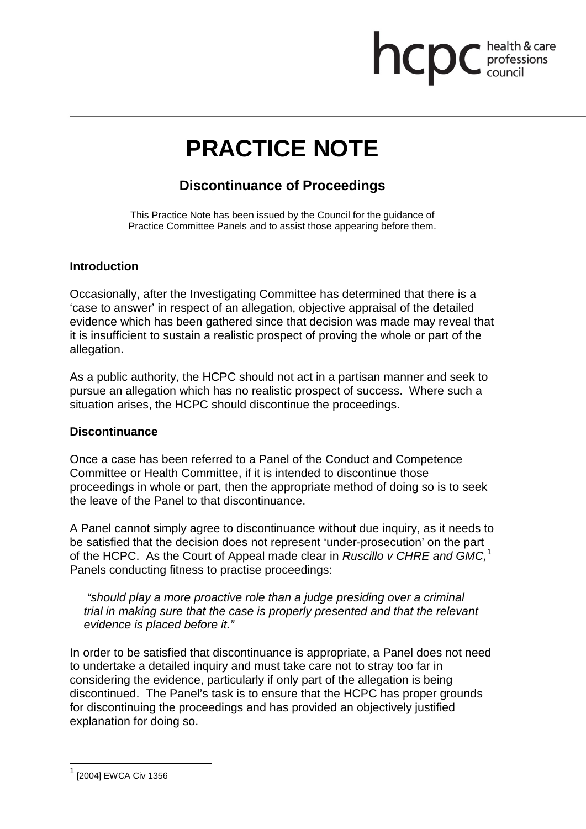# health & care **ncpc** bealth & card

# **PRACTICE NOTE**

### **Discontinuance of Proceedings**

This Practice Note has been issued by the Council for the guidance of Practice Committee Panels and to assist those appearing before them.

#### **Introduction**

Occasionally, after the Investigating Committee has determined that there is a 'case to answer' in respect of an allegation, objective appraisal of the detailed evidence which has been gathered since that decision was made may reveal that it is insufficient to sustain a realistic prospect of proving the whole or part of the allegation.

As a public authority, the HCPC should not act in a partisan manner and seek to pursue an allegation which has no realistic prospect of success. Where such a situation arises, the HCPC should discontinue the proceedings.

#### **Discontinuance**

Once a case has been referred to a Panel of the Conduct and Competence Committee or Health Committee, if it is intended to discontinue those proceedings in whole or part, then the appropriate method of doing so is to seek the leave of the Panel to that discontinuance.

A Panel cannot simply agree to discontinuance without due inquiry, as it needs to be satisfied that the decision does not represent 'under-prosecution' on the part of the HCPC. As the Court of Appeal made clear in *Ruscillo v CHRE and GMC,* 1 Panels conducting fitness to practise proceedings:

*"should play a more proactive role than a judge presiding over a criminal trial in making sure that the case is properly presented and that the relevant evidence is placed before it."*

In order to be satisfied that discontinuance is appropriate, a Panel does not need to undertake a detailed inquiry and must take care not to stray too far in considering the evidence, particularly if only part of the allegation is being discontinued. The Panel's task is to ensure that the HCPC has proper grounds for discontinuing the proceedings and has provided an objectively justified explanation for doing so.

 $1$  [2004] EWCA Civ 1356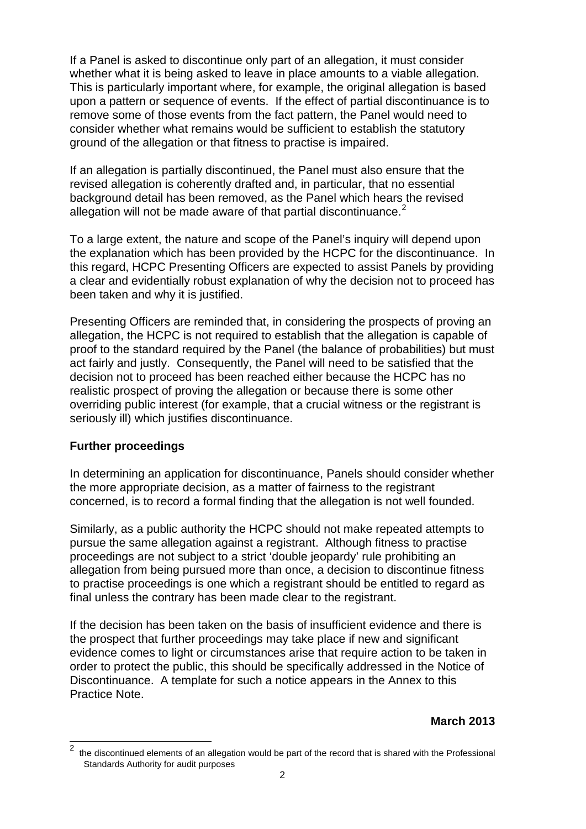If a Panel is asked to discontinue only part of an allegation, it must consider whether what it is being asked to leave in place amounts to a viable allegation. This is particularly important where, for example, the original allegation is based upon a pattern or sequence of events. If the effect of partial discontinuance is to remove some of those events from the fact pattern, the Panel would need to consider whether what remains would be sufficient to establish the statutory ground of the allegation or that fitness to practise is impaired.

If an allegation is partially discontinued, the Panel must also ensure that the revised allegation is coherently drafted and, in particular, that no essential background detail has been removed, as the Panel which hears the revised allegation will not be made aware of that partial discontinuance. $2^2$ 

To a large extent, the nature and scope of the Panel's inquiry will depend upon the explanation which has been provided by the HCPC for the discontinuance. In this regard, HCPC Presenting Officers are expected to assist Panels by providing a clear and evidentially robust explanation of why the decision not to proceed has been taken and why it is justified.

Presenting Officers are reminded that, in considering the prospects of proving an allegation, the HCPC is not required to establish that the allegation is capable of proof to the standard required by the Panel (the balance of probabilities) but must act fairly and justly. Consequently, the Panel will need to be satisfied that the decision not to proceed has been reached either because the HCPC has no realistic prospect of proving the allegation or because there is some other overriding public interest (for example, that a crucial witness or the registrant is seriously ill) which justifies discontinuance.

#### **Further proceedings**

In determining an application for discontinuance, Panels should consider whether the more appropriate decision, as a matter of fairness to the registrant concerned, is to record a formal finding that the allegation is not well founded.

Similarly, as a public authority the HCPC should not make repeated attempts to pursue the same allegation against a registrant. Although fitness to practise proceedings are not subject to a strict 'double jeopardy' rule prohibiting an allegation from being pursued more than once, a decision to discontinue fitness to practise proceedings is one which a registrant should be entitled to regard as final unless the contrary has been made clear to the registrant.

If the decision has been taken on the basis of insufficient evidence and there is the prospect that further proceedings may take place if new and significant evidence comes to light or circumstances arise that require action to be taken in order to protect the public, this should be specifically addressed in the Notice of Discontinuance. A template for such a notice appears in the Annex to this Practice Note.

<sup>2</sup> the discontinued elements of an allegation would be part of the record that is shared with the Professional Standards Authority for audit purposes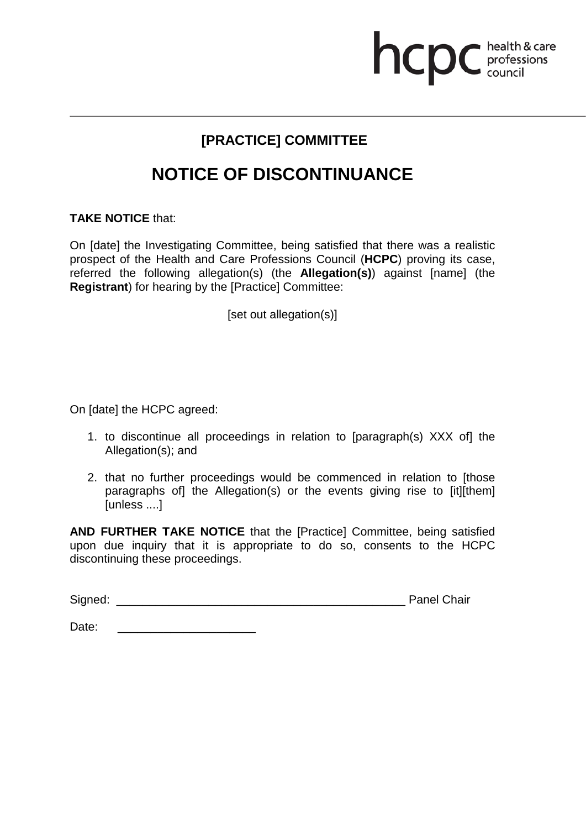# **health & care**

## **[PRACTICE] COMMITTEE**

## **NOTICE OF DISCONTINUANCE**

#### **TAKE NOTICE** that:

On [date] the Investigating Committee, being satisfied that there was a realistic prospect of the Health and Care Professions Council (**HCPC**) proving its case, referred the following allegation(s) (the **Allegation(s)**) against [name] (the **Registrant**) for hearing by the [Practice] Committee:

[set out allegation(s)]

On [date] the HCPC agreed:

- 1. to discontinue all proceedings in relation to [paragraph(s) XXX of] the Allegation(s); and
- 2. that no further proceedings would be commenced in relation to [those paragraphs of] the Allegation(s) or the events giving rise to [it][them] [unless ....]

**AND FURTHER TAKE NOTICE** that the [Practice] Committee, being satisfied upon due inquiry that it is appropriate to do so, consents to the HCPC discontinuing these proceedings.

| Signed: | <b>Panel Chair</b> |  |
|---------|--------------------|--|
|         |                    |  |

Date: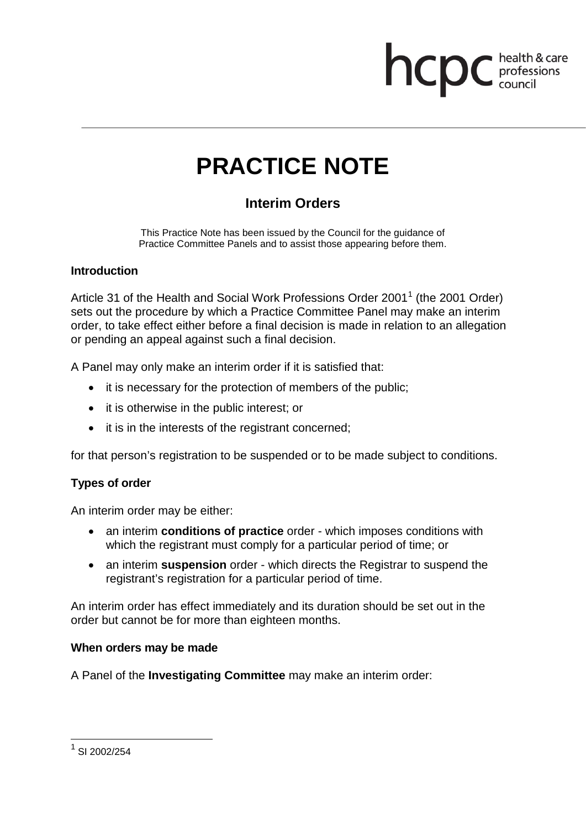# **health & care**

# **PRACTICE NOTE**

## **Interim Orders**

This Practice Note has been issued by the Council for the guidance of Practice Committee Panels and to assist those appearing before them.

#### **Introduction**

Article 31 of the Health and Social Work Professions Order 2001<sup>1</sup> (the 2001 Order) sets out the procedure by which a Practice Committee Panel may make an interim order, to take effect either before a final decision is made in relation to an allegation or pending an appeal against such a final decision.

A Panel may only make an interim order if it is satisfied that:

- it is necessary for the protection of members of the public;
- it is otherwise in the public interest; or
- it is in the interests of the registrant concerned;

for that person's registration to be suspended or to be made subject to conditions.

#### **Types of order**

An interim order may be either:

- an interim **conditions of practice** order which imposes conditions with which the registrant must comply for a particular period of time; or
- an interim **suspension** order which directs the Registrar to suspend the registrant's registration for a particular period of time.

An interim order has effect immediately and its duration should be set out in the order but cannot be for more than eighteen months.

#### **When orders may be made**

A Panel of the **Investigating Committee** may make an interim order:

 $1$  SI 2002/254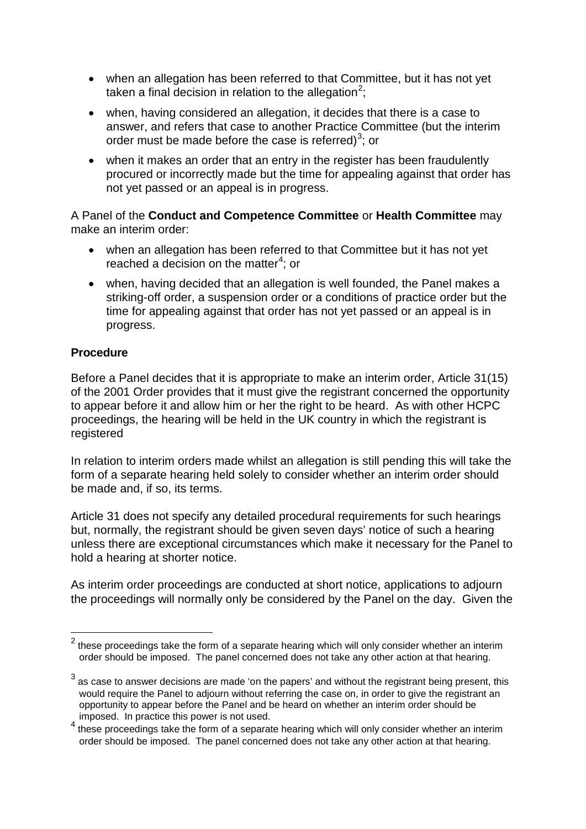- when an allegation has been referred to that Committee, but it has not yet taken a final decision in relation to the allegation<sup>2</sup>;
- when, having considered an allegation, it decides that there is a case to answer, and refers that case to another Practice Committee (but the interim order must be made before the case is referred)<sup>3</sup>; or
- when it makes an order that an entry in the register has been fraudulently procured or incorrectly made but the time for appealing against that order has not yet passed or an appeal is in progress.

A Panel of the **Conduct and Competence Committee** or **Health Committee** may make an interim order:

- when an allegation has been referred to that Committee but it has not yet reached a decision on the matter $4$ ; or
- when, having decided that an allegation is well founded, the Panel makes a striking-off order, a suspension order or a conditions of practice order but the time for appealing against that order has not yet passed or an appeal is in progress.

#### **Procedure**

Before a Panel decides that it is appropriate to make an interim order, Article 31(15) of the 2001 Order provides that it must give the registrant concerned the opportunity to appear before it and allow him or her the right to be heard. As with other HCPC proceedings, the hearing will be held in the UK country in which the registrant is registered

In relation to interim orders made whilst an allegation is still pending this will take the form of a separate hearing held solely to consider whether an interim order should be made and, if so, its terms.

Article 31 does not specify any detailed procedural requirements for such hearings but, normally, the registrant should be given seven days' notice of such a hearing unless there are exceptional circumstances which make it necessary for the Panel to hold a hearing at shorter notice.

As interim order proceedings are conducted at short notice, applications to adjourn the proceedings will normally only be considered by the Panel on the day. Given the

 $2$  these proceedings take the form of a separate hearing which will only consider whether an interim order should be imposed. The panel concerned does not take any other action at that hearing.

 $3$  as case to answer decisions are made 'on the papers' and without the registrant being present, this would require the Panel to adjourn without referring the case on, in order to give the registrant an opportunity to appear before the Panel and be heard on whether an interim order should be imposed. In practice this power is not used.

<sup>4</sup> these proceedings take the form of a separate hearing which will only consider whether an interim order should be imposed. The panel concerned does not take any other action at that hearing.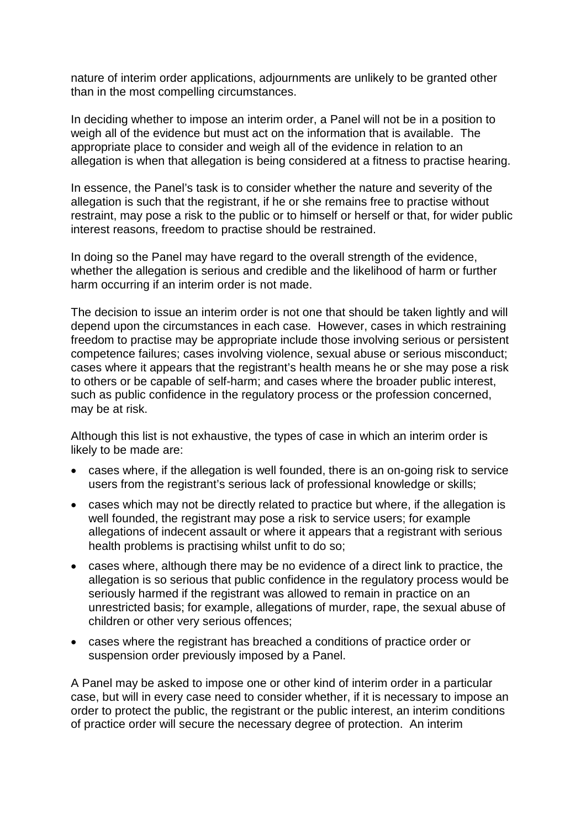nature of interim order applications, adjournments are unlikely to be granted other than in the most compelling circumstances.

In deciding whether to impose an interim order, a Panel will not be in a position to weigh all of the evidence but must act on the information that is available. The appropriate place to consider and weigh all of the evidence in relation to an allegation is when that allegation is being considered at a fitness to practise hearing.

In essence, the Panel's task is to consider whether the nature and severity of the allegation is such that the registrant, if he or she remains free to practise without restraint, may pose a risk to the public or to himself or herself or that, for wider public interest reasons, freedom to practise should be restrained.

In doing so the Panel may have regard to the overall strength of the evidence, whether the allegation is serious and credible and the likelihood of harm or further harm occurring if an interim order is not made.

The decision to issue an interim order is not one that should be taken lightly and will depend upon the circumstances in each case. However, cases in which restraining freedom to practise may be appropriate include those involving serious or persistent competence failures; cases involving violence, sexual abuse or serious misconduct; cases where it appears that the registrant's health means he or she may pose a risk to others or be capable of self-harm; and cases where the broader public interest, such as public confidence in the regulatory process or the profession concerned, may be at risk.

Although this list is not exhaustive, the types of case in which an interim order is likely to be made are:

- cases where, if the allegation is well founded, there is an on-going risk to service users from the registrant's serious lack of professional knowledge or skills;
- cases which may not be directly related to practice but where, if the allegation is well founded, the registrant may pose a risk to service users; for example allegations of indecent assault or where it appears that a registrant with serious health problems is practising whilst unfit to do so;
- cases where, although there may be no evidence of a direct link to practice, the allegation is so serious that public confidence in the regulatory process would be seriously harmed if the registrant was allowed to remain in practice on an unrestricted basis; for example, allegations of murder, rape, the sexual abuse of children or other very serious offences;
- cases where the registrant has breached a conditions of practice order or suspension order previously imposed by a Panel.

A Panel may be asked to impose one or other kind of interim order in a particular case, but will in every case need to consider whether, if it is necessary to impose an order to protect the public, the registrant or the public interest, an interim conditions of practice order will secure the necessary degree of protection. An interim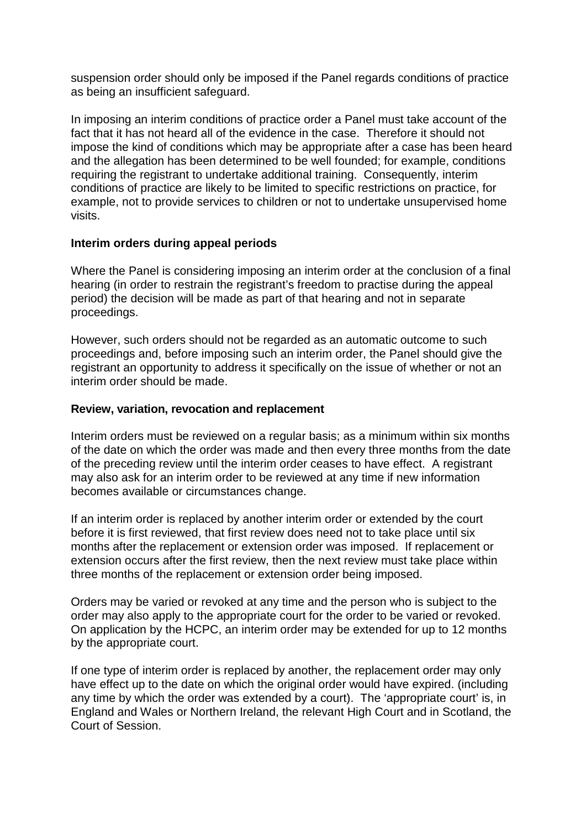suspension order should only be imposed if the Panel regards conditions of practice as being an insufficient safeguard.

In imposing an interim conditions of practice order a Panel must take account of the fact that it has not heard all of the evidence in the case. Therefore it should not impose the kind of conditions which may be appropriate after a case has been heard and the allegation has been determined to be well founded; for example, conditions requiring the registrant to undertake additional training. Consequently, interim conditions of practice are likely to be limited to specific restrictions on practice, for example, not to provide services to children or not to undertake unsupervised home visits.

#### **Interim orders during appeal periods**

Where the Panel is considering imposing an interim order at the conclusion of a final hearing (in order to restrain the registrant's freedom to practise during the appeal period) the decision will be made as part of that hearing and not in separate proceedings.

However, such orders should not be regarded as an automatic outcome to such proceedings and, before imposing such an interim order, the Panel should give the registrant an opportunity to address it specifically on the issue of whether or not an interim order should be made.

#### **Review, variation, revocation and replacement**

Interim orders must be reviewed on a regular basis; as a minimum within six months of the date on which the order was made and then every three months from the date of the preceding review until the interim order ceases to have effect. A registrant may also ask for an interim order to be reviewed at any time if new information becomes available or circumstances change.

If an interim order is replaced by another interim order or extended by the court before it is first reviewed, that first review does need not to take place until six months after the replacement or extension order was imposed. If replacement or extension occurs after the first review, then the next review must take place within three months of the replacement or extension order being imposed.

Orders may be varied or revoked at any time and the person who is subject to the order may also apply to the appropriate court for the order to be varied or revoked. On application by the HCPC, an interim order may be extended for up to 12 months by the appropriate court.

If one type of interim order is replaced by another, the replacement order may only have effect up to the date on which the original order would have expired. (including any time by which the order was extended by a court). The 'appropriate court' is, in England and Wales or Northern Ireland, the relevant High Court and in Scotland, the Court of Session.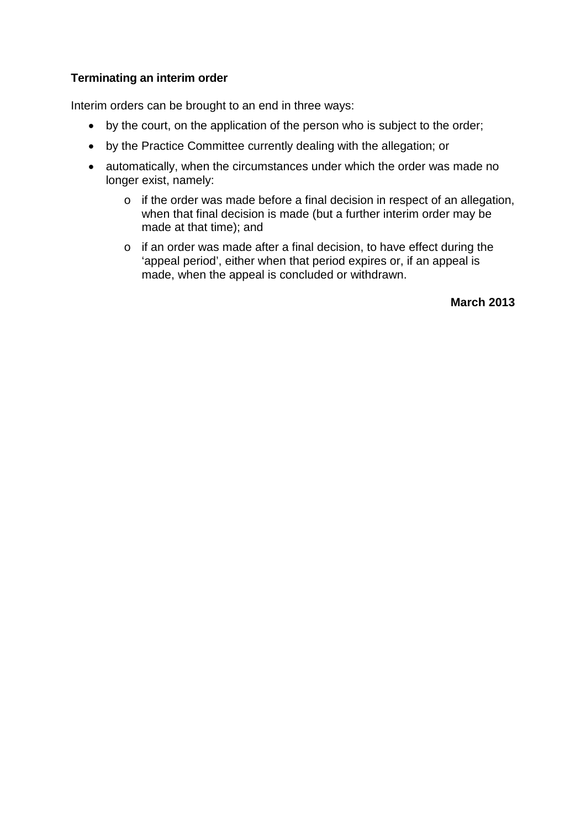#### **Terminating an interim order**

Interim orders can be brought to an end in three ways:

- by the court, on the application of the person who is subject to the order;
- by the Practice Committee currently dealing with the allegation; or
- automatically, when the circumstances under which the order was made no longer exist, namely:
	- o if the order was made before a final decision in respect of an allegation, when that final decision is made (but a further interim order may be made at that time); and
	- o if an order was made after a final decision, to have effect during the 'appeal period', either when that period expires or, if an appeal is made, when the appeal is concluded or withdrawn.

**March 2013**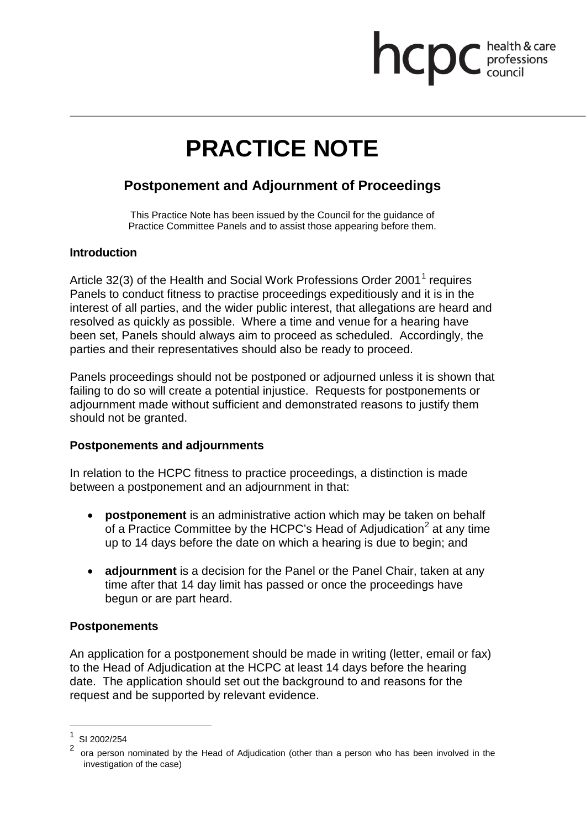# **health & care**

# **PRACTICE NOTE**

### **Postponement and Adjournment of Proceedings**

This Practice Note has been issued by the Council for the guidance of Practice Committee Panels and to assist those appearing before them.

#### **Introduction**

Article 32(3) of the Health and Social Work Professions Order 2001<sup>1</sup> requires Panels to conduct fitness to practise proceedings expeditiously and it is in the interest of all parties, and the wider public interest, that allegations are heard and resolved as quickly as possible. Where a time and venue for a hearing have been set, Panels should always aim to proceed as scheduled. Accordingly, the parties and their representatives should also be ready to proceed.

Panels proceedings should not be postponed or adjourned unless it is shown that failing to do so will create a potential injustice. Requests for postponements or adjournment made without sufficient and demonstrated reasons to justify them should not be granted.

#### **Postponements and adjournments**

In relation to the HCPC fitness to practice proceedings, a distinction is made between a postponement and an adjournment in that:

- **postponement** is an administrative action which may be taken on behalf of a Practice Committee by the HCPC's Head of Adjudication<sup>2</sup> at any time up to 14 days before the date on which a hearing is due to begin; and
- **adjournment** is a decision for the Panel or the Panel Chair, taken at any time after that 14 day limit has passed or once the proceedings have begun or are part heard.

#### **Postponements**

An application for a postponement should be made in writing (letter, email or fax) to the Head of Adjudication at the HCPC at least 14 days before the hearing date. The application should set out the background to and reasons for the request and be supported by relevant evidence.

SI 2002/254

<sup>2</sup> ora person nominated by the Head of Adjudication (other than a person who has been involved in the investigation of the case)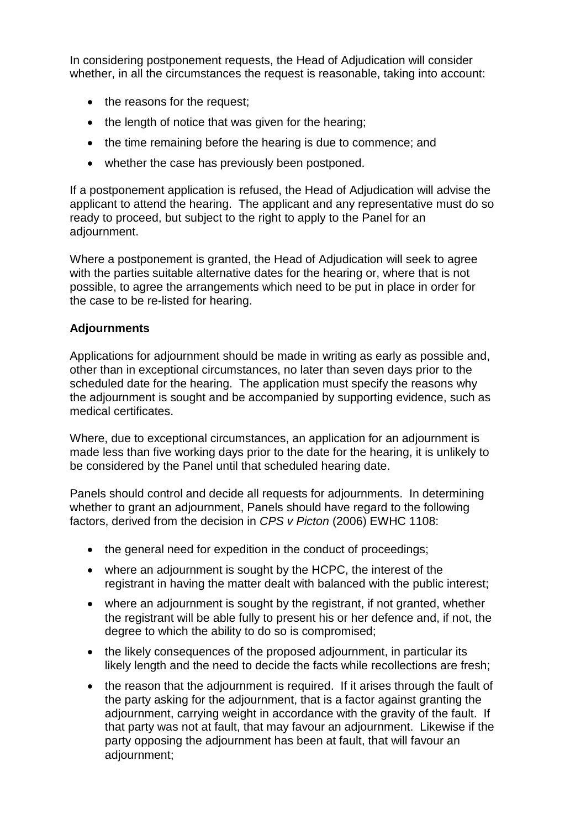In considering postponement requests, the Head of Adjudication will consider whether, in all the circumstances the request is reasonable, taking into account:

- the reasons for the request;
- the length of notice that was given for the hearing;
- the time remaining before the hearing is due to commence; and
- whether the case has previously been postponed.

If a postponement application is refused, the Head of Adjudication will advise the applicant to attend the hearing. The applicant and any representative must do so ready to proceed, but subject to the right to apply to the Panel for an adjournment.

Where a postponement is granted, the Head of Adjudication will seek to agree with the parties suitable alternative dates for the hearing or, where that is not possible, to agree the arrangements which need to be put in place in order for the case to be re-listed for hearing.

#### **Adjournments**

Applications for adjournment should be made in writing as early as possible and, other than in exceptional circumstances, no later than seven days prior to the scheduled date for the hearing. The application must specify the reasons why the adjournment is sought and be accompanied by supporting evidence, such as medical certificates.

Where, due to exceptional circumstances, an application for an adjournment is made less than five working days prior to the date for the hearing, it is unlikely to be considered by the Panel until that scheduled hearing date.

Panels should control and decide all requests for adjournments. In determining whether to grant an adjournment, Panels should have regard to the following factors, derived from the decision in *CPS v Picton* (2006) EWHC 1108:

- the general need for expedition in the conduct of proceedings;
- where an adjournment is sought by the HCPC, the interest of the registrant in having the matter dealt with balanced with the public interest;
- where an adjournment is sought by the registrant, if not granted, whether the registrant will be able fully to present his or her defence and, if not, the degree to which the ability to do so is compromised;
- the likely consequences of the proposed adiournment, in particular its likely length and the need to decide the facts while recollections are fresh;
- the reason that the adjournment is required. If it arises through the fault of the party asking for the adjournment, that is a factor against granting the adjournment, carrying weight in accordance with the gravity of the fault. If that party was not at fault, that may favour an adjournment. Likewise if the party opposing the adjournment has been at fault, that will favour an adjournment;